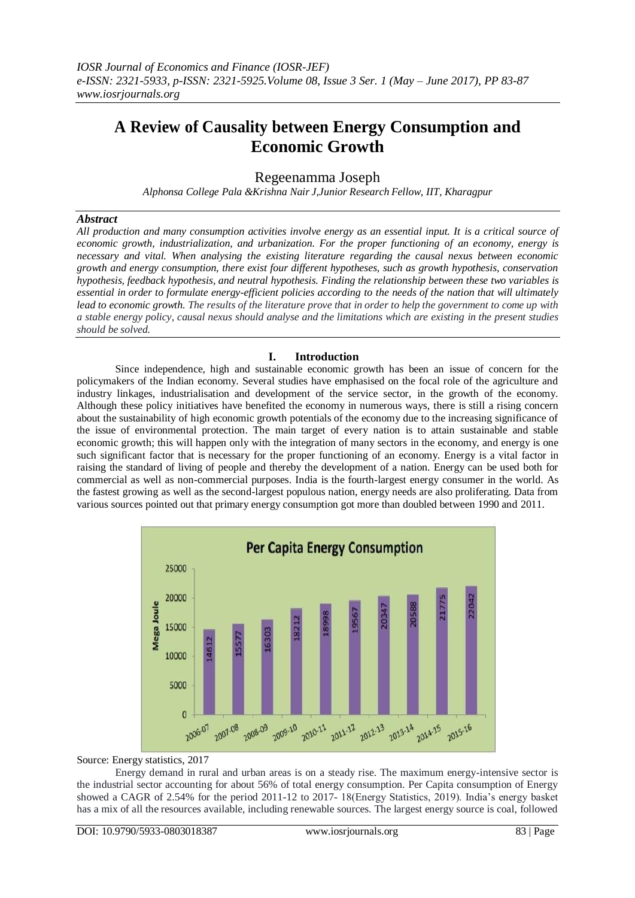# **A Review of Causality between Energy Consumption and Economic Growth**

Regeenamma Joseph

*Alphonsa College Pala &Krishna Nair J,Junior Research Fellow, IIT, Kharagpur*

#### *Abstract*

*All production and many consumption activities involve energy as an essential input. It is a critical source of economic growth, industrialization, and urbanization. For the proper functioning of an economy, energy is necessary and vital. When analysing the existing literature regarding the causal nexus between economic growth and energy consumption, there exist four different hypotheses, such as growth hypothesis, conservation hypothesis, feedback hypothesis, and neutral hypothesis. Finding the relationship between these two variables is essential in order to formulate energy-efficient policies according to the needs of the nation that will ultimately lead to economic growth. The results of the literature prove that in order to help the government to come up with a stable energy policy, causal nexus should analyse and the limitations which are existing in the present studies should be solved.*

### **I. Introduction**

Since independence, high and sustainable economic growth has been an issue of concern for the policymakers of the Indian economy. Several studies have emphasised on the focal role of the agriculture and industry linkages, industrialisation and development of the service sector, in the growth of the economy. Although these policy initiatives have benefited the economy in numerous ways, there is still a rising concern about the sustainability of high economic growth potentials of the economy due to the increasing significance of the issue of environmental protection. The main target of every nation is to attain sustainable and stable economic growth; this will happen only with the integration of many sectors in the economy, and energy is one such significant factor that is necessary for the proper functioning of an economy. Energy is a vital factor in raising the standard of living of people and thereby the development of a nation. Energy can be used both for commercial as well as non-commercial purposes. India is the fourth-largest energy consumer in the world. As the fastest growing as well as the second-largest populous nation, energy needs are also proliferating. Data from various sources pointed out that primary energy consumption got more than doubled between 1990 and 2011.



Source: Energy statistics, 2017

Energy demand in rural and urban areas is on a steady rise. The maximum energy-intensive sector is the industrial sector accounting for about 56% of total energy consumption. Per Capita consumption of Energy showed a CAGR of 2.54% for the period 2011-12 to 2017- 18(Energy Statistics, 2019). India's energy basket has a mix of all the resources available, including renewable sources. The largest energy source is coal, followed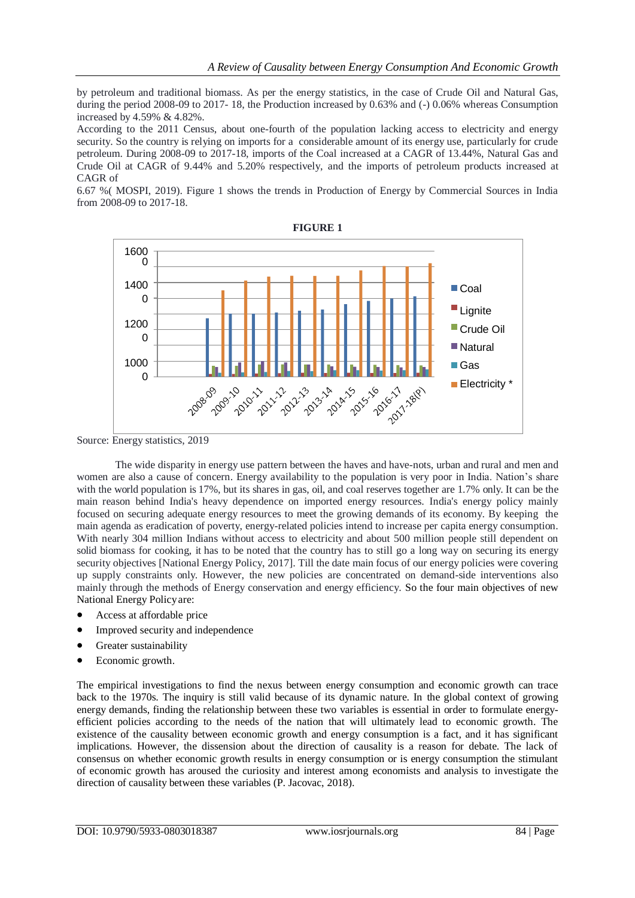by petroleum and traditional biomass. As per the energy statistics, in the case of Crude Oil and Natural Gas, during the period 2008-09 to 2017- 18, the Production increased by 0.63% and (-) 0.06% whereas Consumption increased by 4.59% & 4.82%.

According to the 2011 Census, about one-fourth of the population lacking access to electricity and energy security. So the country is relying on imports for a considerable amount of its energy use, particularly for crude petroleum. During 2008-09 to 2017-18, imports of the Coal increased at a CAGR of 13.44%, Natural Gas and Crude Oil at CAGR of 9.44% and 5.20% respectively, and the imports of petroleum products increased at CAGR of

6.67 %( MOSPI, 2019). Figure 1 shows the trends in Production of Energy by Commercial Sources in India from 2008-09 to 2017-18.



Source: Energy statistics, 2019

women are also a cause of concern. Energy availability to the population is very poor in India. Nation's share main reason behind India's heavy dependence on imported energy resources. India's energy policy mainly The wide disparity in energy use pattern between the haves and have-nots, urban and rural and men and with the world population is 17%, but its shares in gas, oil, and coal reserves together are 1.7% only. It can be the focused on securing adequate energy resources to meet the growing demands of its economy. By keeping the main agenda as eradication of poverty, energy-related policies intend to increase per capita energy consumption. With nearly 304 million Indians without access to electricity and about 500 million people still dependent on solid biomass for cooking, it has to be noted that the country has to still go a long way on securing its energy security objectives [National Energy Policy, 2017]. Till the date main focus of our energy policies were covering up supply constraints only. However, the new policies are concentrated on demand-side interventions also mainly through the methods of Energy conservation and energy efficiency. So the four main objectives of new National Energy Policyare:

- Access at affordable price
- Improved security and independence
- Greater sustainability
- Economic growth.

The empirical investigations to find the nexus between energy consumption and economic growth can trace back to the 1970s. The inquiry is still valid because of its dynamic nature. In the global context of growing energy demands, finding the relationship between these two variables is essential in order to formulate energyefficient policies according to the needs of the nation that will ultimately lead to economic growth. The existence of the causality between economic growth and energy consumption is a fact, and it has significant implications. However, the dissension about the direction of causality is a reason for debate. The lack of consensus on whether economic growth results in energy consumption or is energy consumption the stimulant of economic growth has aroused the curiosity and interest among economists and analysis to investigate the direction of causality between these variables (P. Jacovac, 2018).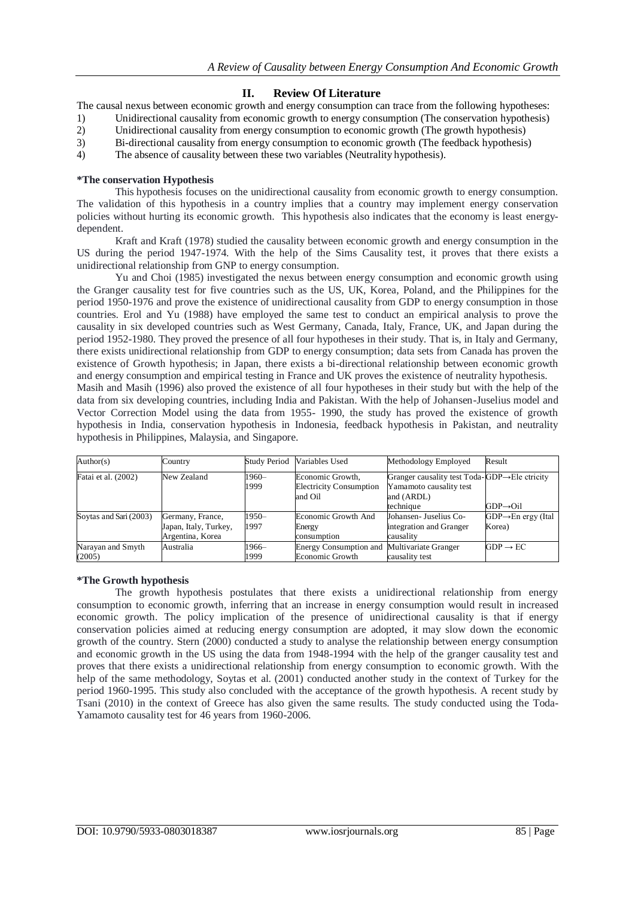## **II. Review Of Literature**

The causal nexus between economic growth and energy consumption can trace from the following hypotheses:

- 1) Unidirectional causality from economic growth to energy consumption (The conservation hypothesis) 2) Unidirectional causality from energy consumption to economic growth (The growth hypothesis)
- 3) Bi-directional causality from energy consumption to economic growth (The feedback hypothesis)
- 4) The absence of causality between these two variables (Neutrality hypothesis).

#### **\*The conservation Hypothesis**

This hypothesis focuses on the unidirectional causality from economic growth to energy consumption. The validation of this hypothesis in a country implies that a country may implement energy conservation policies without hurting its economic growth. This hypothesis also indicates that the economy is least energydependent.

Kraft and Kraft (1978) studied the causality between economic growth and energy consumption in the US during the period 1947-1974. With the help of the Sims Causality test, it proves that there exists a unidirectional relationship from GNP to energy consumption.

Yu and Choi (1985) investigated the nexus between energy consumption and economic growth using the Granger causality test for five countries such as the US, UK, Korea, Poland, and the Philippines for the period 1950-1976 and prove the existence of unidirectional causality from GDP to energy consumption in those countries. Erol and Yu (1988) have employed the same test to conduct an empirical analysis to prove the causality in six developed countries such as West Germany, Canada, Italy, France, UK, and Japan during the period 1952-1980. They proved the presence of all four hypotheses in their study. That is, in Italy and Germany, there exists unidirectional relationship from GDP to energy consumption; data sets from Canada has proven the existence of Growth hypothesis; in Japan, there exists a bi-directional relationship between economic growth and energy consumption and empirical testing in France and UK proves the existence of neutrality hypothesis.

Masih and Masih (1996) also proved the existence of all four hypotheses in their study but with the help of the data from six developing countries, including India and Pakistan. With the help of Johansen-Juselius model and Vector Correction Model using the data from 1955- 1990, the study has proved the existence of growth hypothesis in India, conservation hypothesis in Indonesia, feedback hypothesis in Pakistan, and neutrality hypothesis in Philippines, Malaysia, and Singapore.

| Author(s)              | Country               |               | Study Period Variables Used                        | Methodology Employed                                                                  | Result                          |
|------------------------|-----------------------|---------------|----------------------------------------------------|---------------------------------------------------------------------------------------|---------------------------------|
| Fatai et al. (2002)    | New Zealand           | 1960-<br>1999 | Economic Growth,<br><b>Electricity Consumption</b> | Granger causality test Toda-GDP $\rightarrow$ Ele ctricity<br>Yamamoto causality test |                                 |
|                        |                       |               | and Oil                                            | and (ARDL)                                                                            |                                 |
|                        |                       |               |                                                    | technique                                                                             | $GDP \rightarrow Oil$           |
| Soytas and Sari (2003) | Germany, France,      | $1950-$       | Economic Growth And                                | Johansen- Juselius Co-                                                                | $GDP \rightarrow En$ ergy (Ital |
|                        | Japan, Italy, Turkey, | 1997          | Energy                                             | integration and Granger                                                               | Korea)                          |
|                        | Argentina, Korea      |               | consumption                                        | causalitv                                                                             |                                 |
| Narayan and Smyth      | Australia             | $1966-$       | <b>Energy Consumption and Multivariate Granger</b> |                                                                                       | $GDP \rightarrow EC$            |
| (2005)                 |                       | 1999          | Economic Growth                                    | causality test                                                                        |                                 |

### **\*The Growth hypothesis**

The growth hypothesis postulates that there exists a unidirectional relationship from energy consumption to economic growth, inferring that an increase in energy consumption would result in increased economic growth. The policy implication of the presence of unidirectional causality is that if energy conservation policies aimed at reducing energy consumption are adopted, it may slow down the economic growth of the country. Stern (2000) conducted a study to analyse the relationship between energy consumption and economic growth in the US using the data from 1948-1994 with the help of the granger causality test and proves that there exists a unidirectional relationship from energy consumption to economic growth. With the help of the same methodology, Soytas et al. (2001) conducted another study in the context of Turkey for the period 1960-1995. This study also concluded with the acceptance of the growth hypothesis. A recent study by Tsani (2010) in the context of Greece has also given the same results. The study conducted using the Toda-Yamamoto causality test for 46 years from 1960-2006.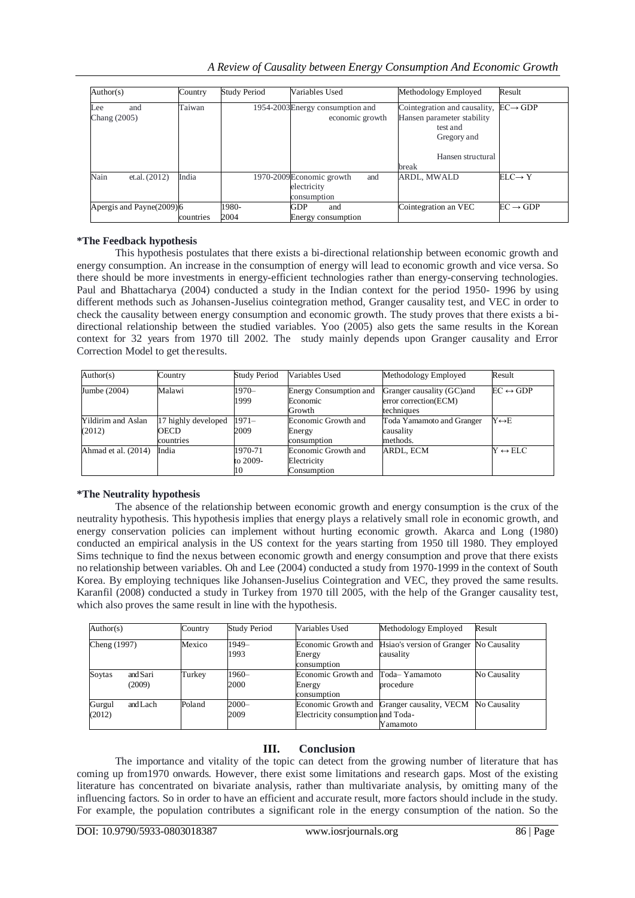|  |  |  | A Review of Causality between Energy Consumption And Economic Growth |  |  |
|--|--|--|----------------------------------------------------------------------|--|--|
|  |  |  |                                                                      |  |  |

| Author(s)                  | Country   | Study Period  | Variables Used                                                | Methodology Employed                                                                                                | Result               |
|----------------------------|-----------|---------------|---------------------------------------------------------------|---------------------------------------------------------------------------------------------------------------------|----------------------|
| and<br>Lee<br>Chang (2005) | Taiwan    |               | 1954-2003 Energy consumption and<br>economic growth           | Cointegration and causality,<br>Hansen parameter stability<br>test and<br>Gregory and<br>Hansen structural<br>break | $EC \rightarrow GDP$ |
| Nain<br>et.al. (2012)      | India     |               | 1970-2009Economic growth<br>and<br>electricity<br>consumption | <b>ARDL, MWALD</b>                                                                                                  | $ELC \rightarrow Y$  |
| Apergis and Payne(2009)6   | countries | 1980-<br>2004 | GDP<br>and<br>Energy consumption                              | Cointegration an VEC                                                                                                | $EC \rightarrow GDP$ |

### **\*The Feedback hypothesis**

This hypothesis postulates that there exists a bi-directional relationship between economic growth and energy consumption. An increase in the consumption of energy will lead to economic growth and vice versa. So there should be more investments in energy-efficient technologies rather than energy-conserving technologies. Paul and Bhattacharya (2004) conducted a study in the Indian context for the period 1950- 1996 by using different methods such as Johansen-Juselius cointegration method, Granger causality test, and VEC in order to check the causality between energy consumption and economic growth. The study proves that there exists a bidirectional relationship between the studied variables. Yoo (2005) also gets the same results in the Korean context for 32 years from 1970 till 2002. The study mainly depends upon Granger causality and Error Correction Model to get theresults.

| Author(s)                    | Country                                         | <b>Study Period</b>       | Variables Used                                    | Methodology Employed                                              | Result                   |
|------------------------------|-------------------------------------------------|---------------------------|---------------------------------------------------|-------------------------------------------------------------------|--------------------------|
| Jumbe (2004)                 | Malawi                                          | 1970-<br>1999             | Energy Consumption and<br>Economic<br>Growth      | Granger causality (GC) and<br>error correction(ECM)<br>techniques | $EC \leftrightarrow GDP$ |
| Yildirim and Aslan<br>(2012) | 17 highly developed<br><b>OECD</b><br>countries | $1971-$<br>2009           | Economic Growth and<br>Energy<br>consumption      | Toda Yamamoto and Granger<br>causality<br>methods.                | $Y \leftrightarrow E$    |
| Ahmad et al. (2014)          | India                                           | 1970-71<br>to 2009-<br>10 | Economic Growth and<br>Electricity<br>Consumption | ARDL, ECM                                                         | $Y \leftrightarrow ELC$  |

### **\*The Neutrality hypothesis**

The absence of the relationship between economic growth and energy consumption is the crux of the neutrality hypothesis. This hypothesis implies that energy plays a relatively small role in economic growth, and energy conservation policies can implement without hurting economic growth. Akarca and Long (1980) conducted an empirical analysis in the US context for the years starting from 1950 till 1980. They employed Sims technique to find the nexus between economic growth and energy consumption and prove that there exists no relationship between variables. Oh and Lee (2004) conducted a study from 1970-1999 in the context of South Korea. By employing techniques like Johansen-Juselius Cointegration and VEC, they proved the same results. Karanfil (2008) conducted a study in Turkey from 1970 till 2005, with the help of the Granger causality test, which also proves the same result in line with the hypothesis.

| Author(s)<br>Cheng (1997) |                    | Country | <b>Study Period</b> | Variables Used                               | Methodology Employed<br>Hsiao's version of Granger No Causality<br>causality | Result       |
|---------------------------|--------------------|---------|---------------------|----------------------------------------------|------------------------------------------------------------------------------|--------------|
|                           |                    | Mexico  | 1949-<br>1993       | Economic Growth and<br>Energy<br>consumption |                                                                              |              |
| Soytas                    | and Sari<br>(2009) | Turkey  | 1960-<br>2000       | Economic Growth and<br>Energy<br>consumption | Toda-Yamamoto<br>procedure                                                   | No Causality |
| Gurgul<br>(2012)          | and Lach           | Poland  | 2000-<br>2009       | Electricity consumption and Toda-            | Economic Growth and Granger causality, VECM<br>Yamamoto                      | No Causality |

# **III. Conclusion**

The importance and vitality of the topic can detect from the growing number of literature that has coming up from1970 onwards. However, there exist some limitations and research gaps. Most of the existing literature has concentrated on bivariate analysis, rather than multivariate analysis, by omitting many of the influencing factors. So in order to have an efficient and accurate result, more factors should include in the study. For example, the population contributes a significant role in the energy consumption of the nation. So the